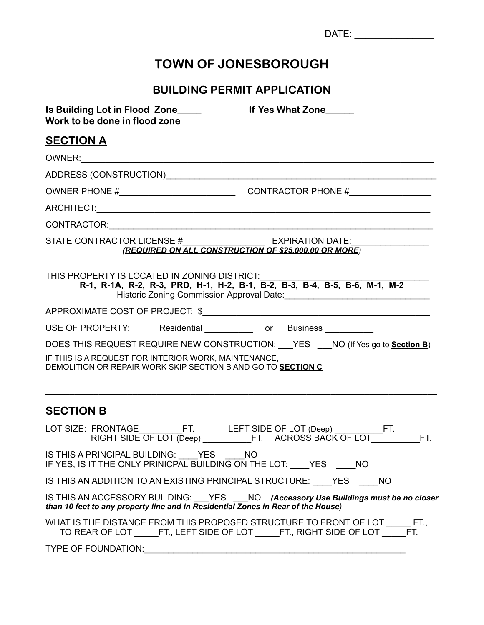|                                                                                                                                                                      | DATE: _________________ |
|----------------------------------------------------------------------------------------------------------------------------------------------------------------------|-------------------------|
| <b>TOWN OF JONESBOROUGH</b>                                                                                                                                          |                         |
| <b>BUILDING PERMIT APPLICATION</b>                                                                                                                                   |                         |
|                                                                                                                                                                      |                         |
| <b>SECTION A</b>                                                                                                                                                     |                         |
|                                                                                                                                                                      |                         |
|                                                                                                                                                                      |                         |
|                                                                                                                                                                      |                         |
|                                                                                                                                                                      |                         |
|                                                                                                                                                                      |                         |
| STATE CONTRACTOR LICENSE # EXPIRATION DATE:<br>(REQUIRED ON ALL CONSTRUCTION OF \$25,000.00 OR MORE)                                                                 |                         |
| THIS PROPERTY IS LOCATED IN ZONING DISTRICT:<br>R-1, R-1A, R-2, R-3, PRD, H-1, H-2, B-1, B-2, B-3, B-4, B-5, B-6, M-1, M-2                                           |                         |
|                                                                                                                                                                      |                         |
| USE OF PROPERTY: Residential _____________ or Business __________                                                                                                    |                         |
| DOES THIS REQUEST REQUIRE NEW CONSTRUCTION: YES NO (If Yes go to Section B)                                                                                          |                         |
| IF THIS IS A REQUEST FOR INTERIOR WORK, MAINTENANCE,<br>DEMOLITION OR REPAIR WORK SKIP SECTION B AND GO TO SECTION C                                                 |                         |
| <b>SECTION B</b>                                                                                                                                                     |                         |
| LOT SIZE: FRONTAGE_________FT. LEFT SIDE OF LOT (Deep) ___________FT.<br>RIGHT SIDE OF LOT (Deep) ____________FT. ACROSS BACK OF LOT_____________FT.                 |                         |
| IS THIS A PRINCIPAL BUILDING: ___ YES NO<br>IF YES, IS IT THE ONLY PRINICPAL BUILDING ON THE LOT: YES NO                                                             |                         |
| IS THIS AN ADDITION TO AN EXISTING PRINCIPAL STRUCTURE: YES NO                                                                                                       |                         |
| IS THIS AN ACCESSORY BUILDING: YES NO (Accessory Use Buildings must be no closer<br>than 10 feet to any property line and in Residential Zones in Rear of the House) |                         |
| WHAT IS THE DISTANCE FROM THIS PROPOSED STRUCTURE TO FRONT OF LOT ______ FT.,<br>TO REAR OF LOT ______FT., LEFT SIDE OF LOT ______FT., RIGHT SIDE OF LOT _____       | FT.                     |
| TYPE OF FOUNDATION: CONTRACT OF THE STATE OF THE STATE AND THE STATE OF THE STATE OF THE STATE OF THE STATE OF                                                       |                         |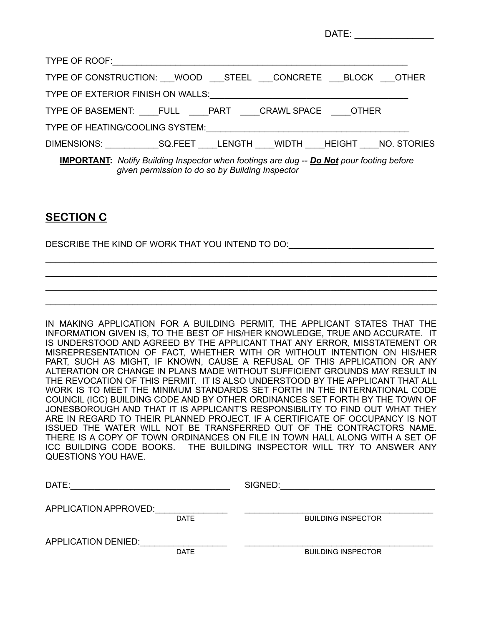|                                                                                                                                                           |  | DATE: _______________ |
|-----------------------------------------------------------------------------------------------------------------------------------------------------------|--|-----------------------|
|                                                                                                                                                           |  |                       |
| TYPE OF CONSTRUCTION: WOOD ___ STEEL ___ CONCRETE ___ BLOCK ___ OTHER                                                                                     |  |                       |
|                                                                                                                                                           |  |                       |
| TYPE OF BASEMENT: FULL PART CRAWL SPACE OTHER                                                                                                             |  |                       |
| TYPE OF HEATING/COOLING SYSTEM: THE CONTRACT OF HEATING COOLING SYSTEM:                                                                                   |  |                       |
|                                                                                                                                                           |  |                       |
| <b>IMPORTANT:</b> Notify Building Inspector when footings are dug -- <b>Do Not</b> pour footing before<br>given permission to do so by Building Inspector |  |                       |

## **SECTION C**

DESCRIBE THE KIND OF WORK THAT YOU INTEND TO DO:

IN MAKING APPLICATION FOR A BUILDING PERMIT, THE APPLICANT STATES THAT THE INFORMATION GIVEN IS, TO THE BEST OF HIS/HER KNOWLEDGE, TRUE AND ACCURATE. IT IS UNDERSTOOD AND AGREED BY THE APPLICANT THAT ANY ERROR, MISSTATEMENT OR MISREPRESENTATION OF FACT, WHETHER WITH OR WITHOUT INTENTION ON HIS/HER PART, SUCH AS MIGHT, IF KNOWN, CAUSE A REFUSAL OF THIS APPLICATION OR ANY ALTERATION OR CHANGE IN PLANS MADE WITHOUT SUFFICIENT GROUNDS MAY RESULT IN THE REVOCATION OF THIS PERMIT. IT IS ALSO UNDERSTOOD BY THE APPLICANT THAT ALL WORK IS TO MEET THE MINIMUM STANDARDS SET FORTH IN THE INTERNATIONAL CODE COUNCIL (ICC) BUILDING CODE AND BY OTHER ORDINANCES SET FORTH BY THE TOWN OF JONESBOROUGH AND THAT IT IS APPLICANT'S RESPONSIBILITY TO FIND OUT WHAT THEY ARE IN REGARD TO THEIR PLANNED PROJECT. IF A CERTIFICATE OF OCCUPANCY IS NOT ISSUED THE WATER WILL NOT BE TRANSFERRED OUT OF THE CONTRACTORS NAME. THERE IS A COPY OF TOWN ORDINANCES ON FILE IN TOWN HALL ALONG WITH A SET OF ICC BUILDING CODE BOOKS. THE BUILDING INSPECTOR WILL TRY TO ANSWER ANY QUESTIONS YOU HAVE.

\_\_\_\_\_\_\_\_\_\_\_\_\_\_\_\_\_\_\_\_\_\_\_\_\_\_\_\_\_\_\_\_\_\_\_\_\_\_\_\_\_\_\_\_\_\_\_\_\_\_\_\_\_\_\_\_\_\_\_\_\_\_\_\_\_\_\_\_\_\_\_\_\_\_\_\_\_\_\_\_\_ \_\_\_\_\_\_\_\_\_\_\_\_\_\_\_\_\_\_\_\_\_\_\_\_\_\_\_\_\_\_\_\_\_\_\_\_\_\_\_\_\_\_\_\_\_\_\_\_\_\_\_\_\_\_\_\_\_\_\_\_\_\_\_\_\_\_\_\_\_\_\_\_\_\_\_\_\_\_\_\_\_ \_\_\_\_\_\_\_\_\_\_\_\_\_\_\_\_\_\_\_\_\_\_\_\_\_\_\_\_\_\_\_\_\_\_\_\_\_\_\_\_\_\_\_\_\_\_\_\_\_\_\_\_\_\_\_\_\_\_\_\_\_\_\_\_\_\_\_\_\_\_\_\_\_\_\_\_\_\_\_\_\_ \_\_\_\_\_\_\_\_\_\_\_\_\_\_\_\_\_\_\_\_\_\_\_\_\_\_\_\_\_\_\_\_\_\_\_\_\_\_\_\_\_\_\_\_\_\_\_\_\_\_\_\_\_\_\_\_\_\_\_\_\_\_\_\_\_\_\_\_\_\_\_\_\_\_\_\_\_\_\_\_\_

| DATE:                      |             | SIGNED:                   |
|----------------------------|-------------|---------------------------|
| APPLICATION APPROVED:      |             |                           |
|                            | <b>DATE</b> | <b>BUILDING INSPECTOR</b> |
| <b>APPLICATION DENIED:</b> |             |                           |
|                            | <b>DATE</b> | <b>BUILDING INSPECTOR</b> |